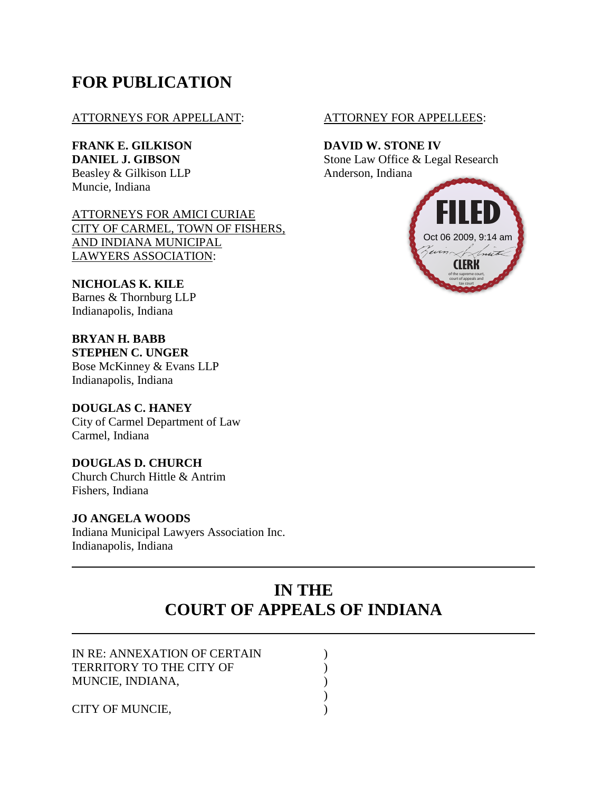# **FOR PUBLICATION**

## ATTORNEYS FOR APPELLANT: ATTORNEY FOR APPELLEES:

**FRANK E. GILKISON DAVID W. STONE IV** Beasley & Gilkison LLP Anderson, Indiana Muncie, Indiana

ATTORNEYS FOR AMICI CURIAE CITY OF CARMEL, TOWN OF FISHERS, AND INDIANA MUNICIPAL LAWYERS ASSOCIATION:

**NICHOLAS K. KILE** Barnes & Thornburg LLP Indianapolis, Indiana

**BRYAN H. BABB STEPHEN C. UNGER** Bose McKinney & Evans LLP Indianapolis, Indiana

**DOUGLAS C. HANEY** City of Carmel Department of Law Carmel, Indiana

**DOUGLAS D. CHURCH** Church Church Hittle & Antrim Fishers, Indiana

## **JO ANGELA WOODS**

Indiana Municipal Lawyers Association Inc. Indianapolis, Indiana

**DANIEL J. GIBSON** Stone Law Office & Legal Research



# **IN THE COURT OF APPEALS OF INDIANA**

| IN RE: ANNEXATION OF CERTAIN |  |
|------------------------------|--|
| TERRITORY TO THE CITY OF     |  |
| MUNCIE, INDIANA,             |  |
|                              |  |
| CITY OF MUNCIE,              |  |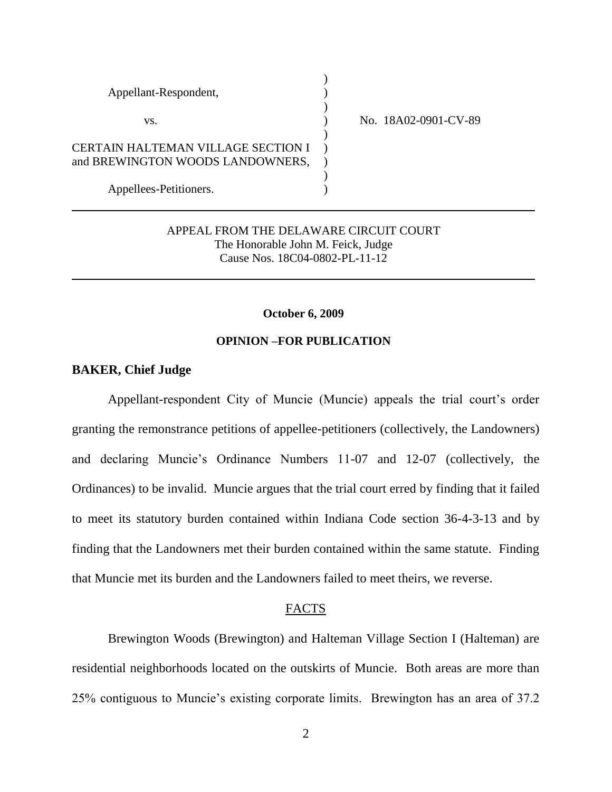| Appellant-Respondent,              |                      |
|------------------------------------|----------------------|
| VS.                                | No. 18A02-0901-CV-89 |
|                                    |                      |
| CERTAIN HALTEMAN VILLAGE SECTION I |                      |
| and BREWINGTON WOODS LANDOWNERS,   |                      |
|                                    |                      |
| Appellees-Petitioners.             |                      |

## APPEAL FROM THE DELAWARE CIRCUIT COURT The Honorable John M. Feick, Judge Cause Nos. 18C04-0802-PL-11-12

#### **October 6, 2009**

#### **OPINION –FOR PUBLICATION**

## **BAKER, Chief Judge**

Appellant-respondent City of Muncie (Muncie) appeals the trial court's order granting the remonstrance petitions of appellee-petitioners (collectively, the Landowners) and declaring Muncie"s Ordinance Numbers 11-07 and 12-07 (collectively, the Ordinances) to be invalid. Muncie argues that the trial court erred by finding that it failed to meet its statutory burden contained within Indiana Code section 36-4-3-13 and by finding that the Landowners met their burden contained within the same statute. Finding that Muncie met its burden and the Landowners failed to meet theirs, we reverse.

#### FACTS

Brewington Woods (Brewington) and Halteman Village Section I (Halteman) are residential neighborhoods located on the outskirts of Muncie. Both areas are more than 25% contiguous to Muncie"s existing corporate limits. Brewington has an area of 37.2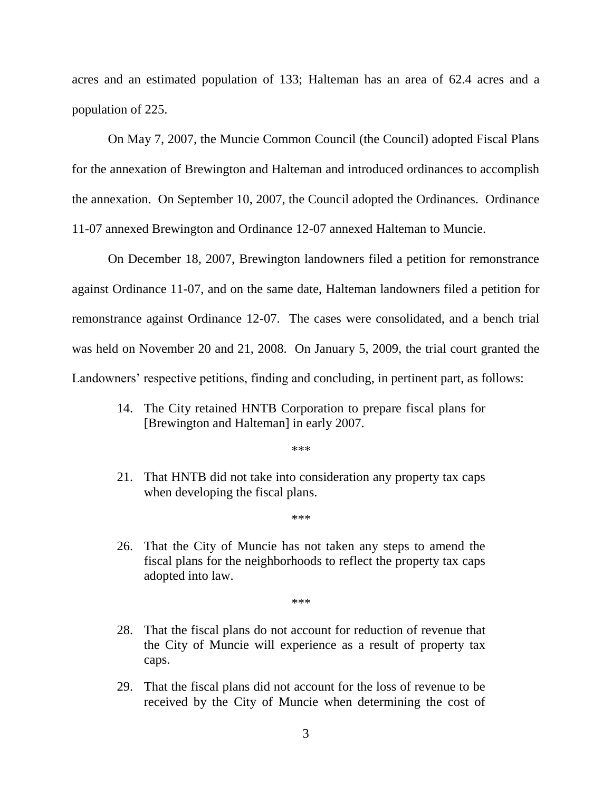acres and an estimated population of 133; Halteman has an area of 62.4 acres and a population of 225.

On May 7, 2007, the Muncie Common Council (the Council) adopted Fiscal Plans for the annexation of Brewington and Halteman and introduced ordinances to accomplish the annexation. On September 10, 2007, the Council adopted the Ordinances. Ordinance 11-07 annexed Brewington and Ordinance 12-07 annexed Halteman to Muncie.

On December 18, 2007, Brewington landowners filed a petition for remonstrance against Ordinance 11-07, and on the same date, Halteman landowners filed a petition for remonstrance against Ordinance 12-07. The cases were consolidated, and a bench trial was held on November 20 and 21, 2008. On January 5, 2009, the trial court granted the Landowners' respective petitions, finding and concluding, in pertinent part, as follows:

14. The City retained HNTB Corporation to prepare fiscal plans for [Brewington and Halteman] in early 2007.

\*\*\*

21. That HNTB did not take into consideration any property tax caps when developing the fiscal plans.

\*\*\*

26. That the City of Muncie has not taken any steps to amend the fiscal plans for the neighborhoods to reflect the property tax caps adopted into law.

\*\*\*

- 28. That the fiscal plans do not account for reduction of revenue that the City of Muncie will experience as a result of property tax caps.
- 29. That the fiscal plans did not account for the loss of revenue to be received by the City of Muncie when determining the cost of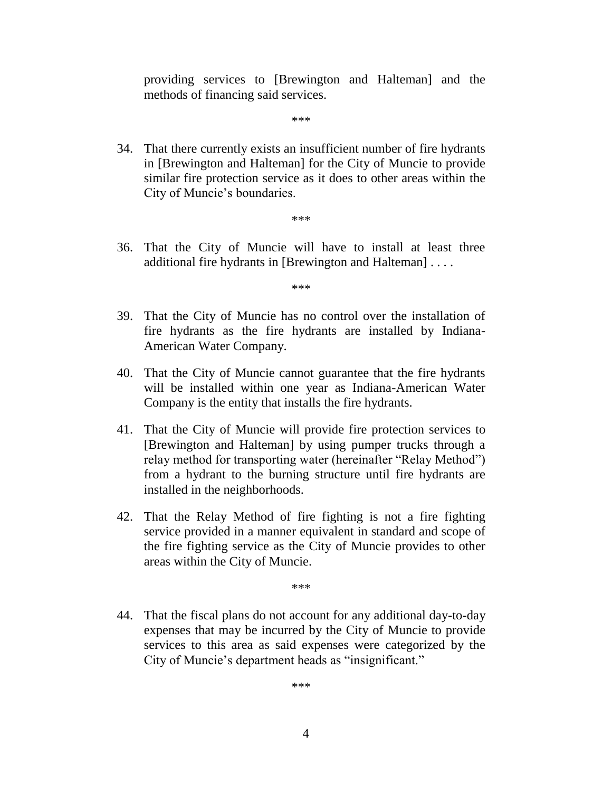providing services to [Brewington and Halteman] and the methods of financing said services.

\*\*\*

34. That there currently exists an insufficient number of fire hydrants in [Brewington and Halteman] for the City of Muncie to provide similar fire protection service as it does to other areas within the City of Muncie's boundaries.

\*\*\*

36. That the City of Muncie will have to install at least three additional fire hydrants in [Brewington and Halteman] . . . .

\*\*\*

- 39. That the City of Muncie has no control over the installation of fire hydrants as the fire hydrants are installed by Indiana-American Water Company.
- 40. That the City of Muncie cannot guarantee that the fire hydrants will be installed within one year as Indiana-American Water Company is the entity that installs the fire hydrants.
- 41. That the City of Muncie will provide fire protection services to [Brewington and Halteman] by using pumper trucks through a relay method for transporting water (hereinafter "Relay Method") from a hydrant to the burning structure until fire hydrants are installed in the neighborhoods.
- 42. That the Relay Method of fire fighting is not a fire fighting service provided in a manner equivalent in standard and scope of the fire fighting service as the City of Muncie provides to other areas within the City of Muncie.

\*\*\*

44. That the fiscal plans do not account for any additional day-to-day expenses that may be incurred by the City of Muncie to provide services to this area as said expenses were categorized by the City of Muncie"s department heads as "insignificant."

\*\*\*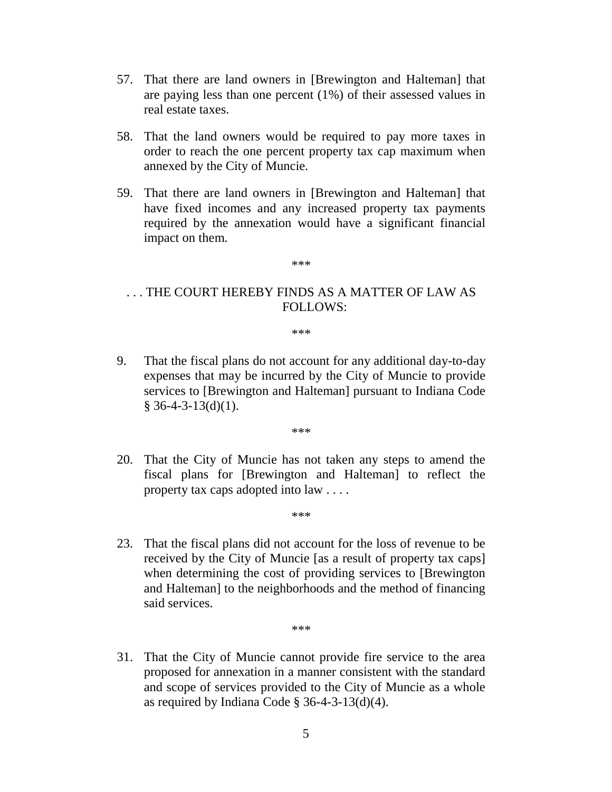- 57. That there are land owners in [Brewington and Halteman] that are paying less than one percent (1%) of their assessed values in real estate taxes.
- 58. That the land owners would be required to pay more taxes in order to reach the one percent property tax cap maximum when annexed by the City of Muncie.
- 59. That there are land owners in [Brewington and Halteman] that have fixed incomes and any increased property tax payments required by the annexation would have a significant financial impact on them.

\*\*\*

## . . . THE COURT HEREBY FINDS AS A MATTER OF LAW AS FOLLOWS:

\*\*\*

9. That the fiscal plans do not account for any additional day-to-day expenses that may be incurred by the City of Muncie to provide services to [Brewington and Halteman] pursuant to Indiana Code  $§$  36-4-3-13(d)(1).

\*\*\*

20. That the City of Muncie has not taken any steps to amend the fiscal plans for [Brewington and Halteman] to reflect the property tax caps adopted into law . . . .

\*\*\*

23. That the fiscal plans did not account for the loss of revenue to be received by the City of Muncie [as a result of property tax caps] when determining the cost of providing services to [Brewington and Halteman] to the neighborhoods and the method of financing said services.

\*\*\*

31. That the City of Muncie cannot provide fire service to the area proposed for annexation in a manner consistent with the standard and scope of services provided to the City of Muncie as a whole as required by Indiana Code  $\S$  36-4-3-13(d)(4).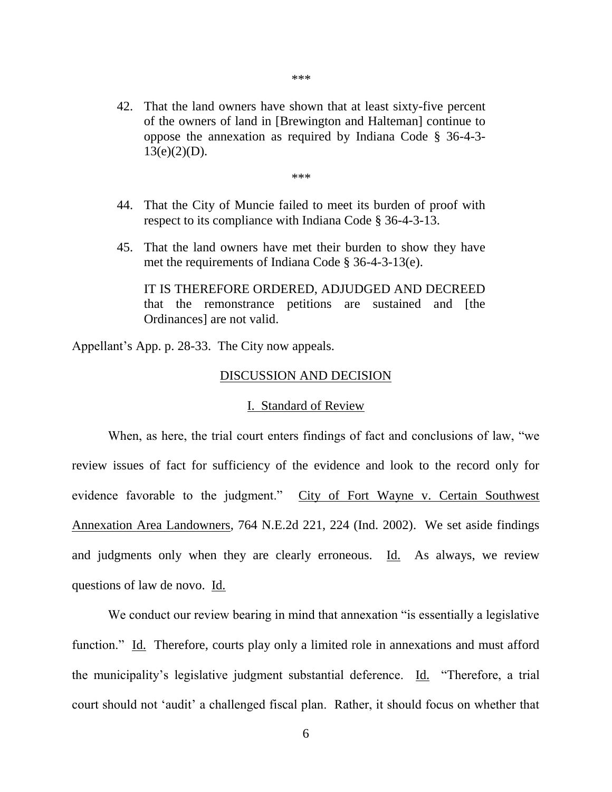\*\*\*

\*\*\*

- 44. That the City of Muncie failed to meet its burden of proof with respect to its compliance with Indiana Code § 36-4-3-13.
- 45. That the land owners have met their burden to show they have met the requirements of Indiana Code § 36-4-3-13(e).

IT IS THEREFORE ORDERED, ADJUDGED AND DECREED that the remonstrance petitions are sustained and [the Ordinances] are not valid.

Appellant"s App. p. 28-33. The City now appeals.

## DISCUSSION AND DECISION

## I. Standard of Review

When, as here, the trial court enters findings of fact and conclusions of law, "we review issues of fact for sufficiency of the evidence and look to the record only for evidence favorable to the judgment." City of Fort Wayne v. Certain Southwest Annexation Area Landowners, 764 N.E.2d 221, 224 (Ind. 2002). We set aside findings and judgments only when they are clearly erroneous. Id. As always, we review questions of law de novo. Id.

We conduct our review bearing in mind that annexation "is essentially a legislative function." Id. Therefore, courts play only a limited role in annexations and must afford the municipality"s legislative judgment substantial deference. Id. "Therefore, a trial court should not "audit" a challenged fiscal plan. Rather, it should focus on whether that

6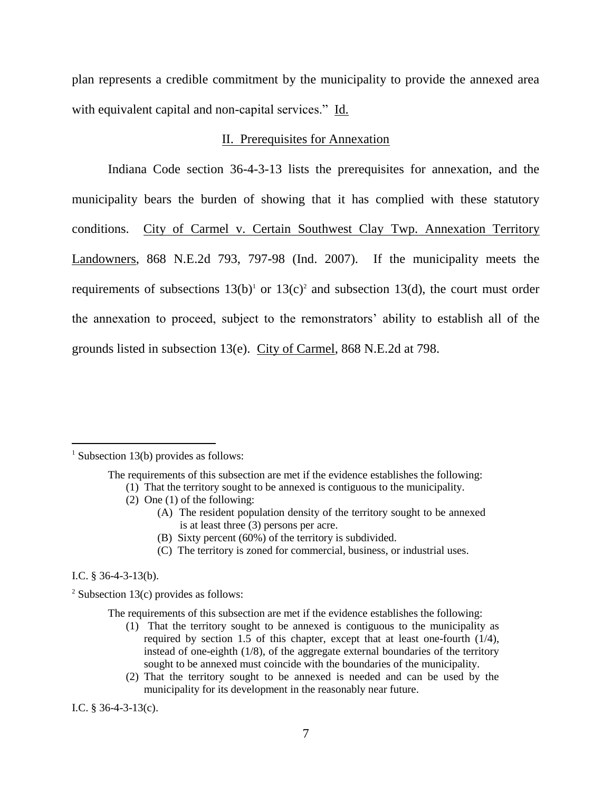plan represents a credible commitment by the municipality to provide the annexed area with equivalent capital and non-capital services." Id.

## II. Prerequisites for Annexation

Indiana Code section 36-4-3-13 lists the prerequisites for annexation, and the municipality bears the burden of showing that it has complied with these statutory conditions. City of Carmel v. Certain Southwest Clay Twp. Annexation Territory Landowners, 868 N.E.2d 793, 797-98 (Ind. 2007). If the municipality meets the requirements of subsections  $13(b)^1$  or  $13(c)^2$  and subsection  $13(d)$ , the court must order the annexation to proceed, subject to the remonstrators" ability to establish all of the grounds listed in subsection 13(e). City of Carmel, 868 N.E.2d at 798.

- (2) One (1) of the following:
	- (A) The resident population density of the territory sought to be annexed is at least three (3) persons per acre.
	- (B) Sixty percent (60%) of the territory is subdivided.
	- (C) The territory is zoned for commercial, business, or industrial uses.

I.C. § 36-4-3-13(b).

 $\overline{a}$ 

- (1) That the territory sought to be annexed is contiguous to the municipality as required by section 1.5 of this chapter, except that at least one-fourth (1/4), instead of one-eighth (1/8), of the aggregate external boundaries of the territory sought to be annexed must coincide with the boundaries of the municipality.
- (2) That the territory sought to be annexed is needed and can be used by the municipality for its development in the reasonably near future.

I.C. § 36-4-3-13(c).

<sup>&</sup>lt;sup>1</sup> Subsection 13(b) provides as follows:

The requirements of this subsection are met if the evidence establishes the following:

<sup>(1)</sup> That the territory sought to be annexed is contiguous to the municipality.

<sup>&</sup>lt;sup>2</sup> Subsection 13(c) provides as follows:

The requirements of this subsection are met if the evidence establishes the following: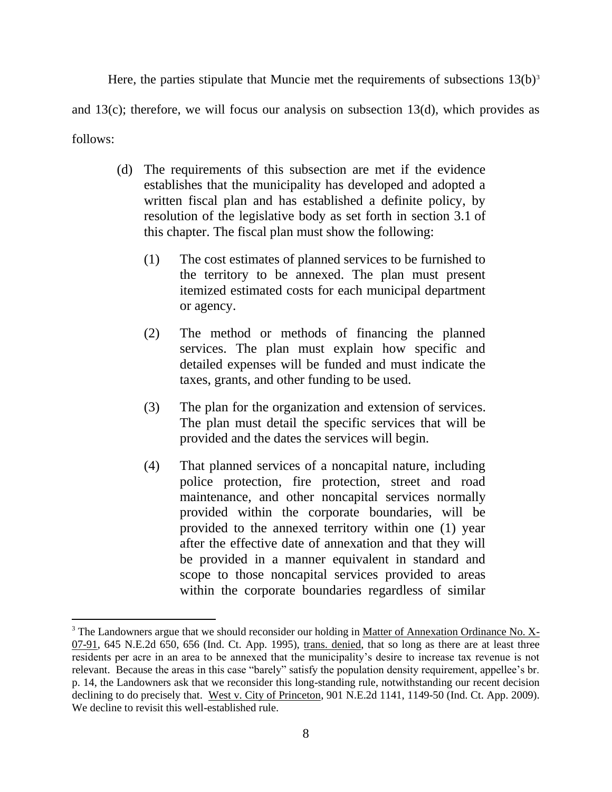Here, the parties stipulate that Muncie met the requirements of subsections  $13(b)^3$ and  $13(c)$ ; therefore, we will focus our analysis on subsection  $13(d)$ , which provides as follows:

- (d) The requirements of this subsection are met if the evidence establishes that the municipality has developed and adopted a written fiscal plan and has established a definite policy, by resolution of the legislative body as set forth in section 3.1 of this chapter. The fiscal plan must show the following:
	- (1) The cost estimates of planned services to be furnished to the territory to be annexed. The plan must present itemized estimated costs for each municipal department or agency.
	- (2) The method or methods of financing the planned services. The plan must explain how specific and detailed expenses will be funded and must indicate the taxes, grants, and other funding to be used.
	- (3) The plan for the organization and extension of services. The plan must detail the specific services that will be provided and the dates the services will begin.
	- (4) That planned services of a noncapital nature, including police protection, fire protection, street and road maintenance, and other noncapital services normally provided within the corporate boundaries, will be provided to the annexed territory within one (1) year after the effective date of annexation and that they will be provided in a manner equivalent in standard and scope to those noncapital services provided to areas within the corporate boundaries regardless of similar

 $\overline{a}$ 

<sup>&</sup>lt;sup>3</sup> The Landowners argue that we should reconsider our holding in Matter of Annexation Ordinance No. X-07-91, 645 N.E.2d 650, 656 (Ind. Ct. App. 1995), trans. denied, that so long as there are at least three residents per acre in an area to be annexed that the municipality"s desire to increase tax revenue is not relevant. Because the areas in this case "barely" satisfy the population density requirement, appellee"s br. p. 14, the Landowners ask that we reconsider this long-standing rule, notwithstanding our recent decision declining to do precisely that. West v. City of Princeton, 901 N.E.2d 1141, 1149-50 (Ind. Ct. App. 2009). We decline to revisit this well-established rule.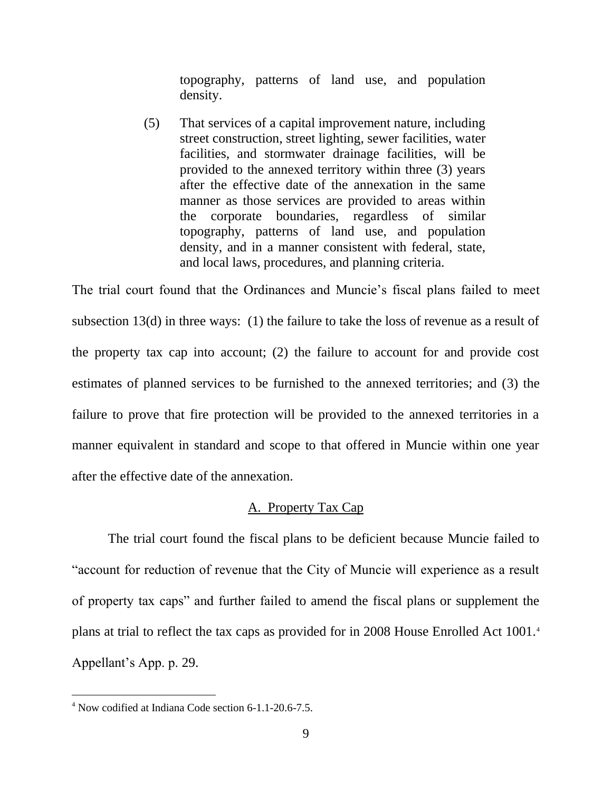topography, patterns of land use, and population density.

(5) That services of a capital improvement nature, including street construction, street lighting, sewer facilities, water facilities, and stormwater drainage facilities, will be provided to the annexed territory within three (3) years after the effective date of the annexation in the same manner as those services are provided to areas within the corporate boundaries, regardless of similar topography, patterns of land use, and population density, and in a manner consistent with federal, state, and local laws, procedures, and planning criteria.

The trial court found that the Ordinances and Muncie"s fiscal plans failed to meet subsection 13(d) in three ways: (1) the failure to take the loss of revenue as a result of the property tax cap into account; (2) the failure to account for and provide cost estimates of planned services to be furnished to the annexed territories; and (3) the failure to prove that fire protection will be provided to the annexed territories in a manner equivalent in standard and scope to that offered in Muncie within one year after the effective date of the annexation.

## A. Property Tax Cap

The trial court found the fiscal plans to be deficient because Muncie failed to "account for reduction of revenue that the City of Muncie will experience as a result of property tax caps" and further failed to amend the fiscal plans or supplement the plans at trial to reflect the tax caps as provided for in 2008 House Enrolled Act 1001.<sup>4</sup> Appellant"s App. p. 29.

 $\overline{a}$ 

<sup>4</sup> Now codified at Indiana Code section 6-1.1-20.6-7.5.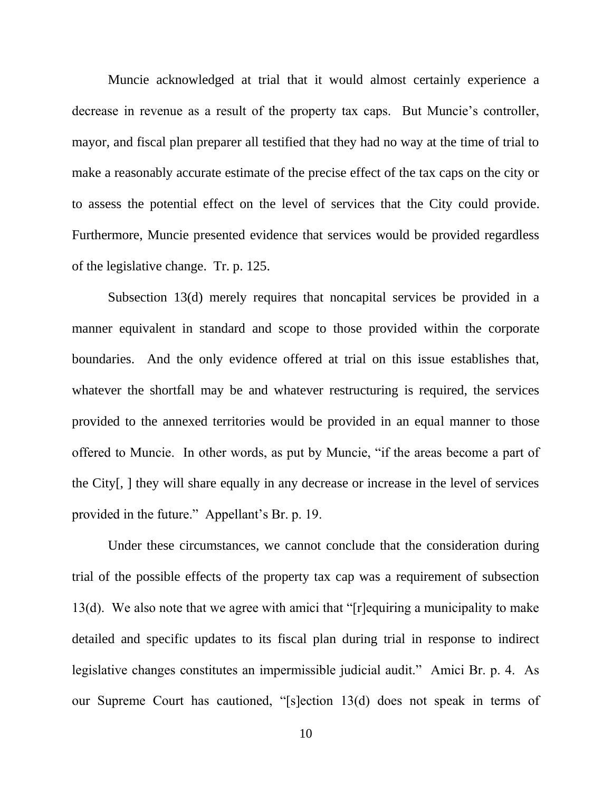Muncie acknowledged at trial that it would almost certainly experience a decrease in revenue as a result of the property tax caps. But Muncie's controller, mayor, and fiscal plan preparer all testified that they had no way at the time of trial to make a reasonably accurate estimate of the precise effect of the tax caps on the city or to assess the potential effect on the level of services that the City could provide. Furthermore, Muncie presented evidence that services would be provided regardless of the legislative change. Tr. p. 125.

Subsection 13(d) merely requires that noncapital services be provided in a manner equivalent in standard and scope to those provided within the corporate boundaries. And the only evidence offered at trial on this issue establishes that, whatever the shortfall may be and whatever restructuring is required, the services provided to the annexed territories would be provided in an equal manner to those offered to Muncie. In other words, as put by Muncie, "if the areas become a part of the City[, ] they will share equally in any decrease or increase in the level of services provided in the future." Appellant"s Br. p. 19.

Under these circumstances, we cannot conclude that the consideration during trial of the possible effects of the property tax cap was a requirement of subsection 13(d). We also note that we agree with amici that "[r]equiring a municipality to make detailed and specific updates to its fiscal plan during trial in response to indirect legislative changes constitutes an impermissible judicial audit." Amici Br. p. 4. As our Supreme Court has cautioned, "[s]ection 13(d) does not speak in terms of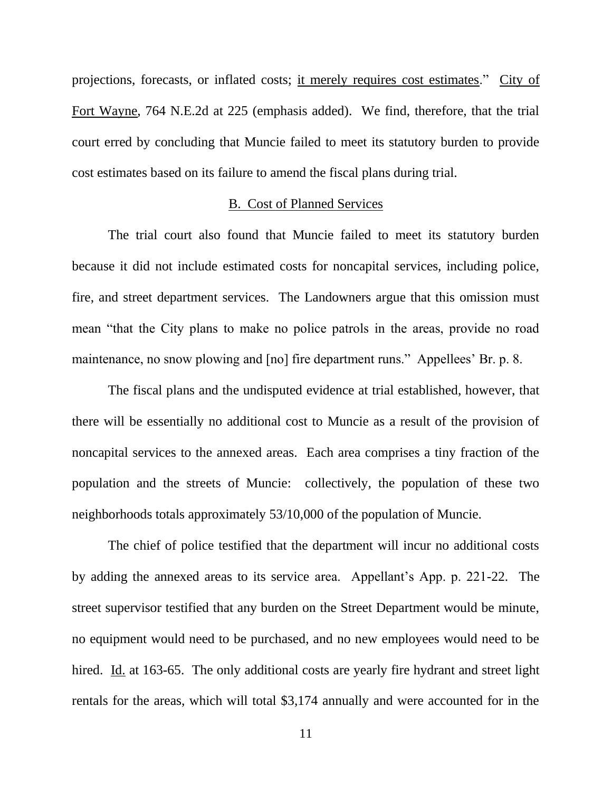projections, forecasts, or inflated costs; it merely requires cost estimates." City of Fort Wayne, 764 N.E.2d at 225 (emphasis added). We find, therefore, that the trial court erred by concluding that Muncie failed to meet its statutory burden to provide cost estimates based on its failure to amend the fiscal plans during trial.

## B. Cost of Planned Services

The trial court also found that Muncie failed to meet its statutory burden because it did not include estimated costs for noncapital services, including police, fire, and street department services. The Landowners argue that this omission must mean "that the City plans to make no police patrols in the areas, provide no road maintenance, no snow plowing and [no] fire department runs." Appellees' Br. p. 8.

The fiscal plans and the undisputed evidence at trial established, however, that there will be essentially no additional cost to Muncie as a result of the provision of noncapital services to the annexed areas. Each area comprises a tiny fraction of the population and the streets of Muncie: collectively, the population of these two neighborhoods totals approximately 53/10,000 of the population of Muncie.

The chief of police testified that the department will incur no additional costs by adding the annexed areas to its service area. Appellant"s App. p. 221-22. The street supervisor testified that any burden on the Street Department would be minute, no equipment would need to be purchased, and no new employees would need to be hired. Id. at 163-65. The only additional costs are yearly fire hydrant and street light rentals for the areas, which will total \$3,174 annually and were accounted for in the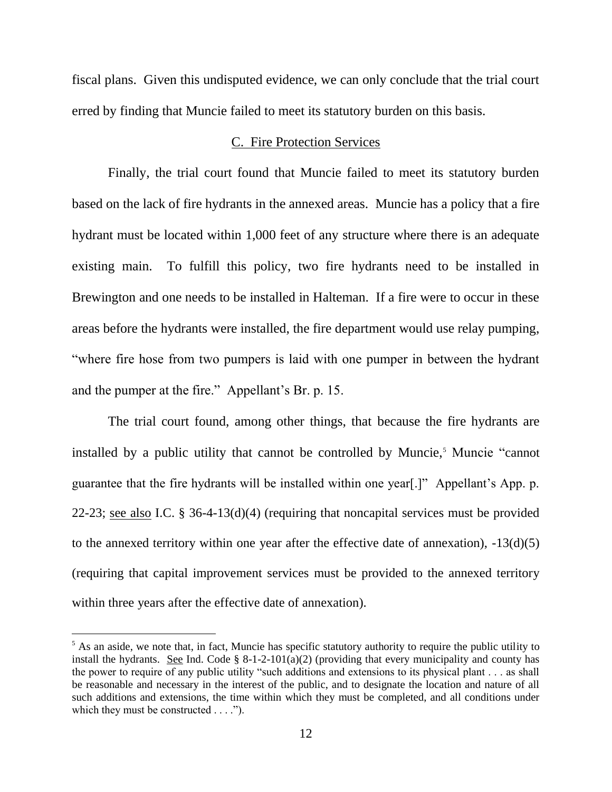fiscal plans. Given this undisputed evidence, we can only conclude that the trial court erred by finding that Muncie failed to meet its statutory burden on this basis.

## C. Fire Protection Services

Finally, the trial court found that Muncie failed to meet its statutory burden based on the lack of fire hydrants in the annexed areas. Muncie has a policy that a fire hydrant must be located within 1,000 feet of any structure where there is an adequate existing main. To fulfill this policy, two fire hydrants need to be installed in Brewington and one needs to be installed in Halteman. If a fire were to occur in these areas before the hydrants were installed, the fire department would use relay pumping, "where fire hose from two pumpers is laid with one pumper in between the hydrant and the pumper at the fire." Appellant's Br. p. 15.

The trial court found, among other things, that because the fire hydrants are installed by a public utility that cannot be controlled by Muncie,<sup>5</sup> Muncie "cannot" guarantee that the fire hydrants will be installed within one year[.]" Appellant"s App. p. 22-23; see also I.C. § 36-4-13(d)(4) (requiring that noncapital services must be provided to the annexed territory within one year after the effective date of annexation),  $-13(d)(5)$ (requiring that capital improvement services must be provided to the annexed territory within three years after the effective date of annexation).

<sup>&</sup>lt;sup>5</sup> As an aside, we note that, in fact, Muncie has specific statutory authority to require the public utility to install the hydrants. See Ind. Code  $\S 8-1-2-101(a)(2)$  (providing that every municipality and county has the power to require of any public utility "such additions and extensions to its physical plant . . . as shall be reasonable and necessary in the interest of the public, and to designate the location and nature of all such additions and extensions, the time within which they must be completed, and all conditions under which they must be constructed . . . .").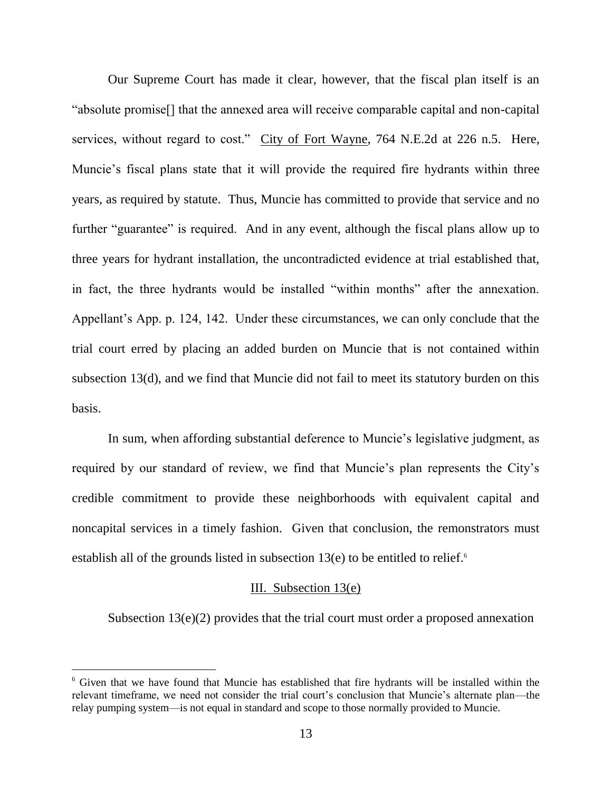Our Supreme Court has made it clear, however, that the fiscal plan itself is an "absolute promise[] that the annexed area will receive comparable capital and non-capital services, without regard to cost." City of Fort Wayne, 764 N.E.2d at 226 n.5. Here, Muncie's fiscal plans state that it will provide the required fire hydrants within three years, as required by statute. Thus, Muncie has committed to provide that service and no further "guarantee" is required. And in any event, although the fiscal plans allow up to three years for hydrant installation, the uncontradicted evidence at trial established that, in fact, the three hydrants would be installed "within months" after the annexation. Appellant"s App. p. 124, 142. Under these circumstances, we can only conclude that the trial court erred by placing an added burden on Muncie that is not contained within subsection 13(d), and we find that Muncie did not fail to meet its statutory burden on this basis.

In sum, when affording substantial deference to Muncie's legislative judgment, as required by our standard of review, we find that Muncie's plan represents the City's credible commitment to provide these neighborhoods with equivalent capital and noncapital services in a timely fashion. Given that conclusion, the remonstrators must establish all of the grounds listed in subsection  $13(e)$  to be entitled to relief.<sup>6</sup>

## III. Subsection 13(e)

Subsection 13(e)(2) provides that the trial court must order a proposed annexation

<sup>6</sup> Given that we have found that Muncie has established that fire hydrants will be installed within the relevant timeframe, we need not consider the trial court's conclusion that Muncie's alternate plan—the relay pumping system—is not equal in standard and scope to those normally provided to Muncie.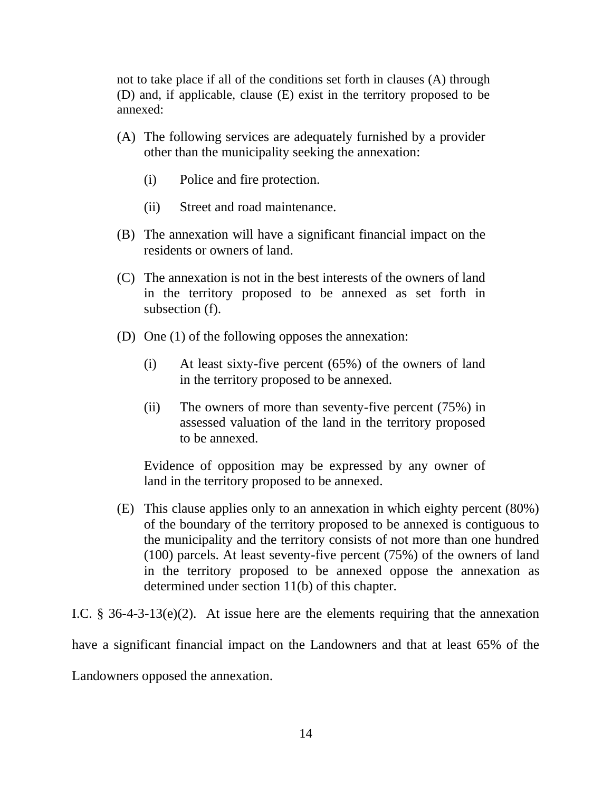not to take place if all of the conditions set forth in clauses (A) through (D) and, if applicable, clause (E) exist in the territory proposed to be annexed:

- (A) The following services are adequately furnished by a provider other than the municipality seeking the annexation:
	- (i) Police and fire protection.
	- (ii) Street and road maintenance.
- (B) The annexation will have a significant financial impact on the residents or owners of land.
- (C) The annexation is not in the best interests of the owners of land in the territory proposed to be annexed as set forth in subsection (f).
- (D) One (1) of the following opposes the annexation:
	- (i) At least sixty-five percent (65%) of the owners of land in the territory proposed to be annexed.
	- (ii) The owners of more than seventy-five percent (75%) in assessed valuation of the land in the territory proposed to be annexed.

Evidence of opposition may be expressed by any owner of land in the territory proposed to be annexed.

(E) This clause applies only to an annexation in which eighty percent (80%) of the boundary of the territory proposed to be annexed is contiguous to the municipality and the territory consists of not more than one hundred (100) parcels. At least seventy-five percent (75%) of the owners of land in the territory proposed to be annexed oppose the annexation as determined under section 11(b) of this chapter.

I.C.  $\S$  36-4-3-13(e)(2). At issue here are the elements requiring that the annexation

have a significant financial impact on the Landowners and that at least 65% of the

Landowners opposed the annexation.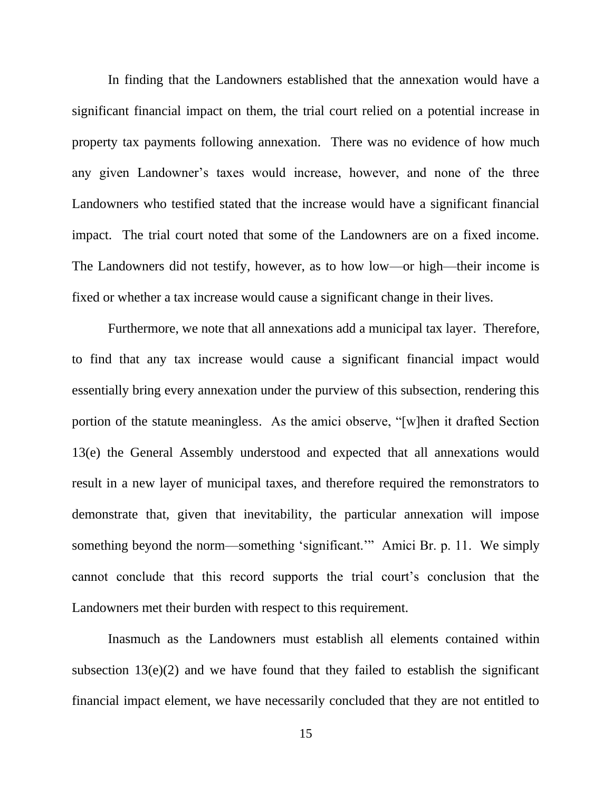In finding that the Landowners established that the annexation would have a significant financial impact on them, the trial court relied on a potential increase in property tax payments following annexation. There was no evidence of how much any given Landowner's taxes would increase, however, and none of the three Landowners who testified stated that the increase would have a significant financial impact. The trial court noted that some of the Landowners are on a fixed income. The Landowners did not testify, however, as to how low—or high—their income is fixed or whether a tax increase would cause a significant change in their lives.

Furthermore, we note that all annexations add a municipal tax layer. Therefore, to find that any tax increase would cause a significant financial impact would essentially bring every annexation under the purview of this subsection, rendering this portion of the statute meaningless. As the amici observe, "[w]hen it drafted Section 13(e) the General Assembly understood and expected that all annexations would result in a new layer of municipal taxes, and therefore required the remonstrators to demonstrate that, given that inevitability, the particular annexation will impose something beyond the norm—something "significant."" Amici Br. p. 11. We simply cannot conclude that this record supports the trial court"s conclusion that the Landowners met their burden with respect to this requirement.

Inasmuch as the Landowners must establish all elements contained within subsection  $13(e)(2)$  and we have found that they failed to establish the significant financial impact element, we have necessarily concluded that they are not entitled to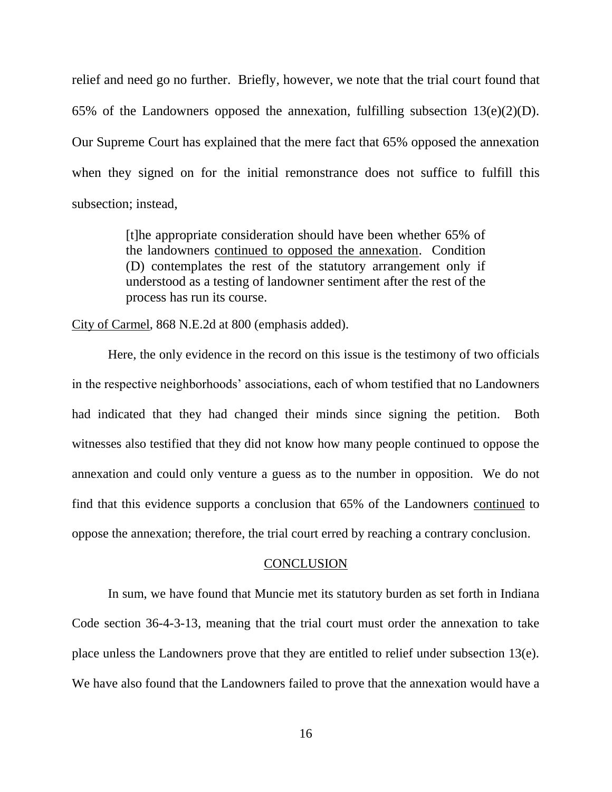relief and need go no further. Briefly, however, we note that the trial court found that 65% of the Landowners opposed the annexation, fulfilling subsection  $13(e)(2)(D)$ . Our Supreme Court has explained that the mere fact that 65% opposed the annexation when they signed on for the initial remonstrance does not suffice to fulfill this subsection; instead,

> [t]he appropriate consideration should have been whether 65% of the landowners continued to opposed the annexation. Condition (D) contemplates the rest of the statutory arrangement only if understood as a testing of landowner sentiment after the rest of the process has run its course.

City of Carmel, 868 N.E.2d at 800 (emphasis added).

Here, the only evidence in the record on this issue is the testimony of two officials in the respective neighborhoods" associations, each of whom testified that no Landowners had indicated that they had changed their minds since signing the petition. Both witnesses also testified that they did not know how many people continued to oppose the annexation and could only venture a guess as to the number in opposition. We do not find that this evidence supports a conclusion that 65% of the Landowners continued to oppose the annexation; therefore, the trial court erred by reaching a contrary conclusion.

#### **CONCLUSION**

In sum, we have found that Muncie met its statutory burden as set forth in Indiana Code section 36-4-3-13, meaning that the trial court must order the annexation to take place unless the Landowners prove that they are entitled to relief under subsection 13(e). We have also found that the Landowners failed to prove that the annexation would have a